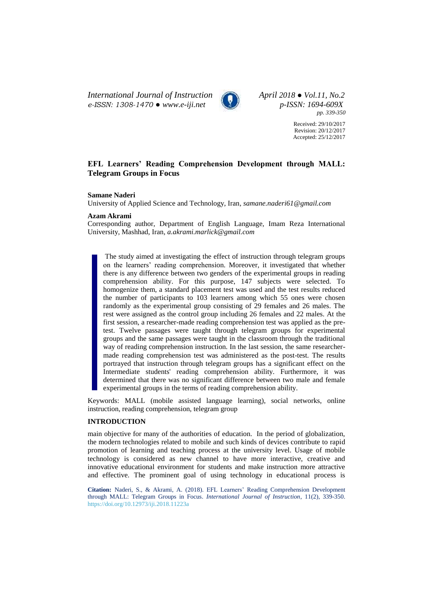*International Journal of Instruction April 2018 ● Vol.11, No.2 e-ISSN: 1308-1470 ● [www.e-iji.net](http://www.e-iji.net/) p-ISSN: 1694-609X*



*pp. 339-350*

Received: 29/10/2017 Revision: 20/12/2017 Accepted: 25/12/2017

# **EFL Learners' Reading Comprehension Development through MALL: Telegram Groups in Focus**

## **Samane Naderi**

University of Applied Science and Technology, Iran, *samane.naderi61@gmail.com*

#### **Azam Akrami**

Corresponding author, Department of English Language, Imam Reza International University, Mashhad, Iran, *a.akrami.marlick@gmail.com*

The study aimed at investigating the effect of instruction through telegram groups on the learners' reading comprehension. Moreover, it investigated that whether there is any difference between two genders of the experimental groups in reading comprehension ability. For this purpose, 147 subjects were selected. To homogenize them, a standard placement test was used and the test results reduced the number of participants to 103 learners among which 55 ones were chosen randomly as the experimental group consisting of 29 females and 26 males. The rest were assigned as the control group including 26 females and 22 males. At the first session, a researcher-made reading comprehension test was applied as the pretest. Twelve passages were taught through telegram groups for experimental groups and the same passages were taught in the classroom through the traditional way of reading comprehension instruction. In the last session, the same researchermade reading comprehension test was administered as the post-test. The results portrayed that instruction through telegram groups has a significant effect on the Intermediate students' reading comprehension ability. Furthermore, it was determined that there was no significant difference between two male and female experimental groups in the terms of reading comprehension ability.

Keywords: MALL (mobile assisted language learning), social networks, online instruction, reading comprehension, telegram group

## **INTRODUCTION**

main objective for many of the authorities of education. In the period of globalization, the modern technologies related to mobile and such kinds of devices contribute to rapid promotion of learning and teaching process at the university level. Usage of mobile technology is considered as new channel to have more interactive, creative and innovative educational environment for students and make instruction more attractive and effective. The prominent goal of using technology in educational process is

**Citation:** Naderi, S., & Akrami, A. (2018). EFL Learners' Reading Comprehension Development through MALL: Telegram Groups in Focus. *International Journal of Instruction*, 11(2), 339-350. <https://doi.org/10.12973/iji.2018.11223a>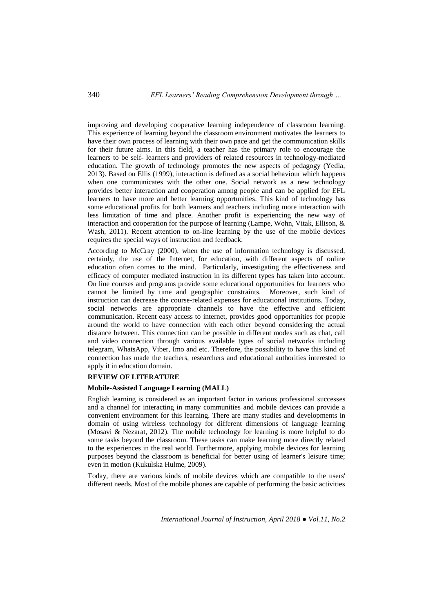improving and developing cooperative learning independence of classroom learning. This experience of learning beyond the classroom environment motivates the learners to have their own process of learning with their own pace and get the communication skills for their future aims. In this field, a teacher has the primary role to encourage the learners to be self- learners and providers of related resources in technology-mediated education. The growth of technology promotes the new aspects of pedagogy (Yedla, 2013). Based on Ellis (1999), interaction is defined as a social behaviour which happens when one communicates with the other one. Social network as a new technology provides better interaction and cooperation among people and can be applied for EFL learners to have more and better learning opportunities. This kind of technology has some educational profits for both learners and teachers including more interaction with less limitation of time and place. Another profit is experiencing the new way of interaction and cooperation for the purpose of learning (Lampe, Wohn, Vitak, Ellison, & Wash, 2011). Recent attention to on-line learning by the use of the mobile devices requires the special ways of instruction and feedback.

According to McCray (2000), when the use of information technology is discussed, certainly, the use of the Internet, for education, with different aspects of online education often comes to the mind. Particularly, investigating the effectiveness and efficacy of computer mediated instruction in its different types has taken into account. On line courses and programs provide some educational opportunities for learners who cannot be limited by time and geographic constraints. Moreover, such kind of instruction can decrease the course-related expenses for educational institutions. Today, social networks are appropriate channels to have the effective and efficient communication. Recent easy access to internet, provides good opportunities for people around the world to have connection with each other beyond considering the actual distance between. This connection can be possible in different modes such as chat, call and video connection through various available types of social networks including telegram, WhatsApp, Viber, Imo and etc. Therefore, the possibility to have this kind of connection has made the teachers, researchers and educational authorities interested to apply it in education domain.

#### **REVIEW OF LITERATURE**

#### **Mobile-Assisted Language Learning (MALL)**

English learning is considered as an important factor in various professional successes and a channel for interacting in many communities and mobile devices can provide a convenient environment for this learning. There are many studies and developments in domain of using wireless technology for different dimensions of language learning (Mosavi & Nezarat, 2012). The mobile technology for learning is more helpful to do some tasks beyond the classroom. These tasks can make learning more directly related to the experiences in the real world. Furthermore, applying mobile devices for learning purposes beyond the classroom is beneficial for better using of learner's leisure time; even in motion (Kukulska Hulme, 2009).

Today, there are various kinds of mobile devices which are compatible to the users' different needs. Most of the mobile phones are capable of performing the basic activities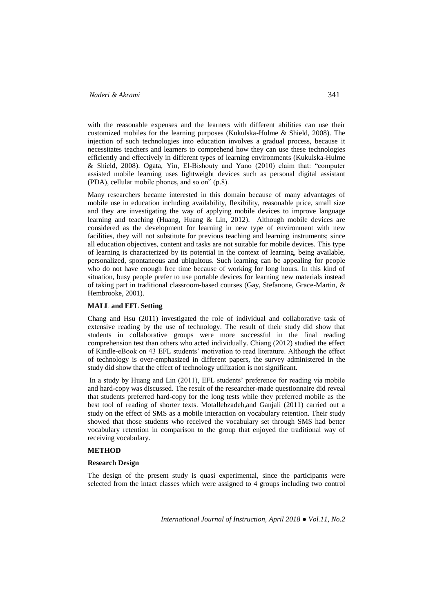## *Naderi & Akrami* 341

with the reasonable expenses and the learners with different abilities can use their customized mobiles for the learning purposes (Kukulska-Hulme & Shield, 2008). The injection of such technologies into education involves a gradual process, because it necessitates teachers and learners to comprehend how they can use these technologies efficiently and effectively in different types of learning environments (Kukulska-Hulme & Shield, 2008). Ogata, Yin, El-Bishouty and Yano (2010) claim that: "computer assisted mobile learning uses lightweight devices such as personal digital assistant (PDA), cellular mobile phones, and so on" (p.8).

Many researchers became interested in this domain because of many advantages of mobile use in education including availability, flexibility, reasonable price, small size and they are investigating the way of applying mobile devices to improve language learning and teaching (Huang, Huang & Lin, 2012). Although mobile devices are considered as the development for learning in new type of environment with new facilities, they will not substitute for previous teaching and learning instruments; since all education objectives, content and tasks are not suitable for mobile devices. This type of learning is characterized by its potential in the context of learning, being available, personalized, spontaneous and ubiquitous. Such learning can be appealing for people who do not have enough free time because of working for long hours. In this kind of situation, busy people prefer to use portable devices for learning new materials instead of taking part in traditional classroom-based courses (Gay, Stefanone, Grace-Martin, & Hembrooke, 2001).

#### **MALL and EFL Setting**

Chang and Hsu (2011) investigated the role of individual and collaborative task of extensive reading by the use of technology. The result of their study did show that students in collaborative groups were more successful in the final reading comprehension test than others who acted individually. Chiang (2012) studied the effect of Kindle-eBook on 43 EFL students' motivation to read literature. Although the effect of technology is over-emphasized in different papers, the survey administered in the study did show that the effect of technology utilization is not significant.

In a study by Huang and Lin (2011), EFL students' preference for reading via mobile and hard-copy was discussed. The result of the researcher-made questionnaire did reveal that students preferred hard-copy for the long tests while they preferred mobile as the best tool of reading of shorter texts. Motallebzadeh,and Ganjali (2011) carried out a study on the effect of SMS as a mobile interaction on vocabulary retention. Their study showed that those students who received the vocabulary set through SMS had better vocabulary retention in comparison to the group that enjoyed the traditional way of receiving vocabulary.

## **METHOD**

#### **Research Design**

The design of the present study is quasi experimental, since the participants were selected from the intact classes which were assigned to 4 groups including two control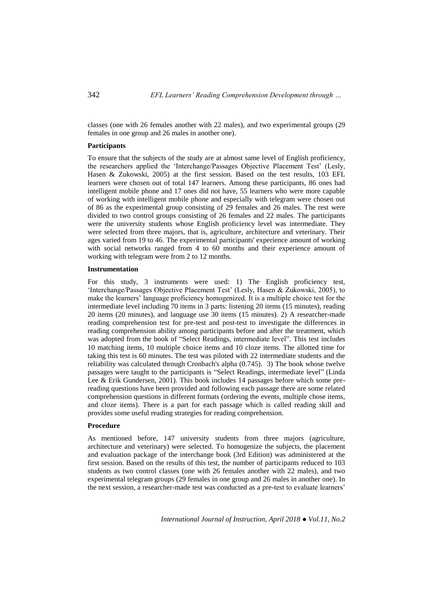classes (one with 26 females another with 22 males), and two experimental groups (29 females in one group and 26 males in another one).

#### **Participants**

To ensure that the subjects of the study are at almost same level of English proficiency, the researchers applied the 'Interchange/Passages Objective Placement Test' (Lesly, Hasen & Zukowski, 2005) at the first session. Based on the test results, 103 EFL learners were chosen out of total 147 learners. Among these participants, 86 ones had intelligent mobile phone and 17 ones did not have, 55 learners who were more capable of working with intelligent mobile phone and especially with telegram were chosen out of 86 as the experimental group consisting of 29 females and 26 males. The rest were divided to two control groups consisting of 26 females and 22 males. The participants were the university students whose English proficiency level was intermediate. They were selected from three majors, that is, agriculture, architecture and veterinary. Their ages varied from 19 to 46. The experimental participants' experience amount of working with social networks ranged from 4 to 60 months and their experience amount of working with telegram were from 2 to 12 months.

#### **Instrumentation**

For this study, 3 instruments were used: 1) The English proficiency test, 'Interchange/Passages Objective Placement Test' (Lesly, Hasen & Zukowski, 2005), to make the learners' language proficiency homogenized. It is a multiple choice test for the intermediate level including 70 items in 3 parts: listening 20 items (15 minutes), reading 20 items (20 minutes), and language use 30 items (15 minutes). 2) A researcher-made reading comprehension test for pre-test and post-test to investigate the differences in reading comprehension ability among participants before and after the treatment, which was adopted from the book of "Select Readings, intermediate level". This test includes 10 matching items, 10 multiple choice items and 10 cloze items. The allotted time for taking this test is 60 minutes. The test was piloted with 22 intermediate students and the reliability was calculated through Cronbach's alpha (0.745). 3) The book whose twelve passages were taught to the participants is "Select Readings, intermediate level" (Linda Lee & Erik Gundersen, 2001). This book includes 14 passages before which some prereading questions have been provided and following each passage there are some related comprehension questions in different formats (ordering the events, multiple chose items, and cloze items). There is a part for each passage which is called reading skill and provides some useful reading strategies for reading comprehension.

## **Procedure**

As mentioned before, 147 university students from three majors (agriculture, architecture and veterinary) were selected. To homogenize the subjects, the placement and evaluation package of the interchange book (3rd Edition) was administered at the first session. Based on the results of this test, the number of participants reduced to 103 students as two control classes (one with 26 females another with 22 males), and two experimental telegram groups (29 females in one group and 26 males in another one). In the next session, a researcher-made test was conducted as a pre-test to evaluate learners'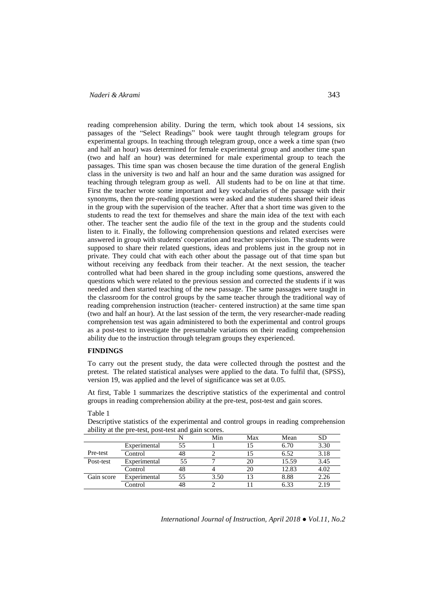## *Naderi & Akrami* 343

reading comprehension ability. During the term, which took about 14 sessions, six passages of the "Select Readings" book were taught through telegram groups for experimental groups. In teaching through telegram group, once a week a time span (two and half an hour) was determined for female experimental group and another time span (two and half an hour) was determined for male experimental group to teach the passages. This time span was chosen because the time duration of the general English class in the university is two and half an hour and the same duration was assigned for teaching through telegram group as well. All students had to be on line at that time. First the teacher wrote some important and key vocabularies of the passage with their synonyms, then the pre-reading questions were asked and the students shared their ideas in the group with the supervision of the teacher. After that a short time was given to the students to read the text for themselves and share the main idea of the text with each other. The teacher sent the audio file of the text in the group and the students could listen to it. Finally, the following comprehension questions and related exercises were answered in group with students' cooperation and teacher supervision. The students were supposed to share their related questions, ideas and problems just in the group not in private. They could chat with each other about the passage out of that time span but without receiving any feedback from their teacher. At the next session, the teacher controlled what had been shared in the group including some questions, answered the questions which were related to the previous session and corrected the students if it was needed and then started teaching of the new passage. The same passages were taught in the classroom for the control groups by the same teacher through the traditional way of reading comprehension instruction (teacher- centered instruction) at the same time span (two and half an hour). At the last session of the term, the very researcher-made reading comprehension test was again administered to both the experimental and control groups as a post-test to investigate the presumable variations on their reading comprehension ability due to the instruction through telegram groups they experienced.

## **FINDINGS**

To carry out the present study, the data were collected through the posttest and the pretest. The related statistical analyses were applied to the data. To fulfil that, (SPSS), version 19, was applied and the level of significance was set at 0.05.

At first, Table 1 summarizes the descriptive statistics of the experimental and control groups in reading comprehension ability at the pre-test, post-test and gain scores.

|            |              |    | Min  | Max | Mean  | SD   |
|------------|--------------|----|------|-----|-------|------|
|            | Experimental | 55 |      |     | 6.70  | 3.30 |
| Pre-test   | Control      | 48 |      |     | 6.52  | 3.18 |
| Post-test  | Experimental | 55 |      | 20  | 15.59 | 3.45 |
|            | Control      | 48 |      | 20  | 12.83 | 4.02 |
| Gain score | Experimental | 55 | 3.50 |     | 8.88  | 2.26 |
|            | Control      | 48 |      |     | 6.33  | 2.19 |

Table 1

Descriptive statistics of the experimental and control groups in reading comprehension ability at the pre-test, post-test and gain scores.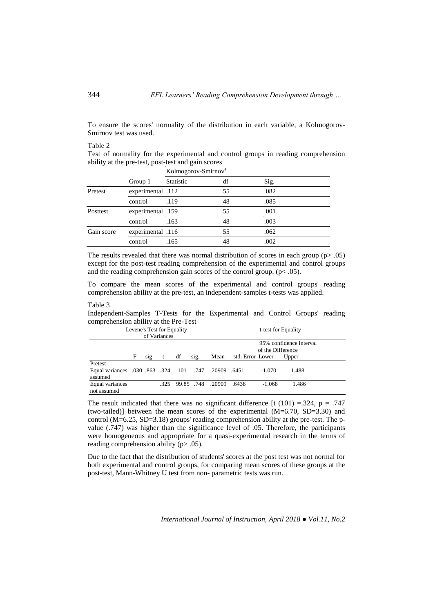To ensure the scores' normality of the distribution in each variable, a Kolmogorov-Smirnov test was used.

Table 2

Test of normality for the experimental and control groups in reading comprehension ability at the pre-test, post-test and gain scores

|                 |                   | Kolmogorov-Smirnov <sup>a</sup> |    |      |  |  |  |  |
|-----------------|-------------------|---------------------------------|----|------|--|--|--|--|
|                 | Group 1           | Statistic                       | df | Sig. |  |  |  |  |
| Pretest         | experimental .112 |                                 | 55 | .082 |  |  |  |  |
|                 | control           | .119                            | 48 | .085 |  |  |  |  |
| <b>Posttest</b> | experimental .159 |                                 | 55 | .001 |  |  |  |  |
|                 | control           | .163                            | 48 | .003 |  |  |  |  |
| Gain score      | experimental .116 |                                 | 55 | .062 |  |  |  |  |
|                 | control           | .165                            | 48 | .002 |  |  |  |  |

The results revealed that there was normal distribution of scores in each group ( $p > .05$ ) except for the post-test reading comprehension of the experimental and control groups and the reading comprehension gain scores of the control group.  $(p < .05)$ .

To compare the mean scores of the experimental and control groups' reading comprehension ability at the pre-test, an independent-samples t-tests was applied.

#### Table 3

Independent-Samples T-Tests for the Experimental and Control Groups' reading comprehension ability at the Pre-Test

|                                                               | Levene's Test for Equality<br>of Variances |     |      |    |      |                 |       |                  | t-test for Equality                          |  |  |
|---------------------------------------------------------------|--------------------------------------------|-----|------|----|------|-----------------|-------|------------------|----------------------------------------------|--|--|
|                                                               |                                            |     |      |    |      |                 |       |                  | 95% confidence interval<br>of the Difference |  |  |
|                                                               | F                                          | sig |      | df | sig. | Mean            |       | std. Error Lower | Upper                                        |  |  |
| Pretest<br>6451. 20909. 747. 101 324 101 0.63 6451<br>assumed |                                            |     |      |    |      |                 |       | $-1.070$         | 1.488                                        |  |  |
| Equal variances<br>not assumed                                |                                            |     | .325 |    |      | 99.85 748 20909 | .6438 | $-1.068$         | 1.486                                        |  |  |

The result indicated that there was no significant difference [t (101) = .324, p = .747 (two-tailed)] between the mean scores of the experimental  $(M=6.70, SD=3.30)$  and control (M=6.25, SD=3.18) groups' reading comprehension ability at the pre-test. The pvalue (.747) was higher than the significance level of .05. Therefore, the participants were homogeneous and appropriate for a quasi-experimental research in the terms of reading comprehension ability ( $p$  $> .05$ ).

Due to the fact that the distribution of students' scores at the post test was not normal for both experimental and control groups, for comparing mean scores of these groups at the post-test, Mann-Whitney U test from non- parametric tests was run.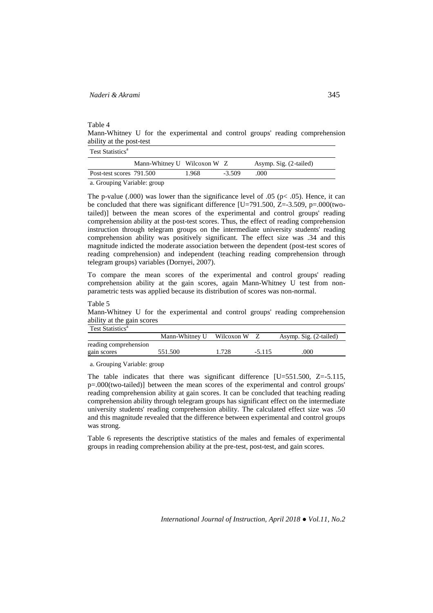Table 4

Mann-Whitney U for the experimental and control groups' reading comprehension ability at the post-test

Test Statistics<sup>a</sup>

|                          | Mann-Whitney U Wilcoxon W Z |       |          | Asymp. Sig. (2-tailed) |
|--------------------------|-----------------------------|-------|----------|------------------------|
| Post-test scores 791.500 |                             | 1.968 | $-3.509$ | .000                   |

a. Grouping Variable: group

The p-value (.000) was lower than the significance level of .05 (p $<$  .05). Hence, it can be concluded that there was significant difference  $[U=791.500, Z=-3.509, p=.000$  (twotailed)] between the mean scores of the experimental and control groups' reading comprehension ability at the post-test scores. Thus, the effect of reading comprehension instruction through telegram groups on the intermediate university students' reading comprehension ability was positively significant. The effect size was .34 and this magnitude indicted the moderate association between the dependent (post-test scores of reading comprehension) and independent (teaching reading comprehension through telegram groups) variables (Dornyei, 2007).

To compare the mean scores of the experimental and control groups' reading comprehension ability at the gain scores, again Mann-Whitney U test from nonparametric tests was applied because its distribution of scores was non-normal.

Table 5

Mann-Whitney U for the experimental and control groups' reading comprehension ability at the gain scores

| Test Statistics <sup>a</sup> |                |            |          |                        |
|------------------------------|----------------|------------|----------|------------------------|
|                              | Mann-Whitney U | Wilcoxon W |          | Asymp. Sig. (2-tailed) |
| reading comprehension        |                |            |          |                        |
| gain scores                  | 551.500        | 1.728      | $-5.115$ | .000                   |
|                              |                |            |          |                        |

a. Grouping Variable: group

The table indicates that there was significant difference [U=551.500, Z=-5.115, p=.000(two-tailed)] between the mean scores of the experimental and control groups' reading comprehension ability at gain scores. It can be concluded that teaching reading comprehension ability through telegram groups has significant effect on the intermediate university students' reading comprehension ability. The calculated effect size was .50 and this magnitude revealed that the difference between experimental and control groups was strong.

Table 6 represents the descriptive statistics of the males and females of experimental groups in reading comprehension ability at the pre-test, post-test, and gain scores.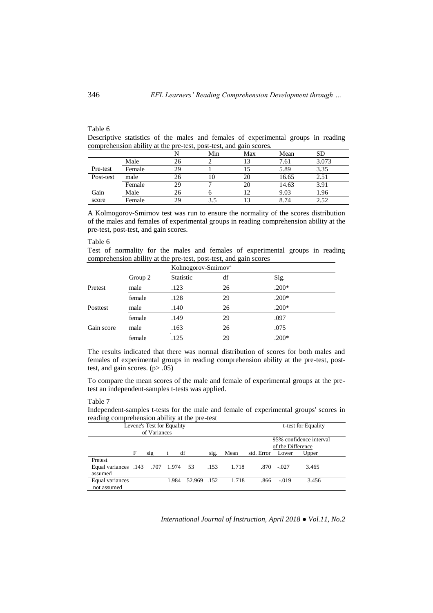## Table 6

Descriptive statistics of the males and females of experimental groups in reading comprehension ability at the pre-test, post-test, and gain scores.

|           |        |    | Min | Max | Mean  | SD    |
|-----------|--------|----|-----|-----|-------|-------|
|           | Male   | 26 |     |     | 7.61  | 3.073 |
| Pre-test  | Female | 29 |     |     | 5.89  | 3.35  |
| Post-test | male   | 26 |     |     | 16.65 | 2.51  |
|           | Female | 29 |     | 20  | 14.63 | 3.91  |
| Gain      | Male   | 26 |     |     | 9.03  | 1.96  |
| score     | Female | 29 |     |     | 8.74  | 2.52  |

A Kolmogorov-Smirnov test was run to ensure the normality of the scores distribution of the males and females of experimental groups in reading comprehension ability at the pre-test, post-test, and gain scores.

## Table 6

Test of normality for the males and females of experimental groups in reading comprehension ability at the pre-test, post-test, and gain scores

|            |         | Kolmogorov-Smirnov <sup>a</sup> |    |         |  |  |  |  |
|------------|---------|---------------------------------|----|---------|--|--|--|--|
|            | Group 2 | Statistic                       | df | Sig.    |  |  |  |  |
| Pretest    | male    | .123                            | 26 | $.200*$ |  |  |  |  |
|            | female  | .128                            | 29 | $.200*$ |  |  |  |  |
| Posttest   | male    | .140                            | 26 | $.200*$ |  |  |  |  |
|            | female  | .149                            | 29 | .097    |  |  |  |  |
| Gain score | male    | .163                            | 26 | .075    |  |  |  |  |
|            | female  | .125                            | 29 | $.200*$ |  |  |  |  |

The results indicated that there was normal distribution of scores for both males and females of experimental groups in reading comprehension ability at the pre-test, posttest, and gain scores.  $(p > .05)$ 

To compare the mean scores of the male and female of experimental groups at the pretest an independent-samples t-tests was applied.

## Table 7

Independent-samples t-tests for the male and female of experimental groups' scores in reading comprehension ability at the pre-test

|                                                          | of Variances | Levene's Test for Equality |       |                                              |      | t-test for Equality |            |         |       |
|----------------------------------------------------------|--------------|----------------------------|-------|----------------------------------------------|------|---------------------|------------|---------|-------|
|                                                          |              |                            |       | 95% confidence interval<br>of the Difference |      |                     |            |         |       |
|                                                          | F            | sig                        | df    |                                              | sig. | Mean                | std. Error | Lower   | Upper |
| Pretest<br>Equal variances .143 .707 1.974 53<br>assumed |              |                            |       |                                              | .153 | 1.718               | .870       | $-.027$ | 3.465 |
| Equal variances<br>not assumed                           |              |                            | 1.984 | 52.969 152                                   |      | 1.718               | .866       | $-.019$ | 3.456 |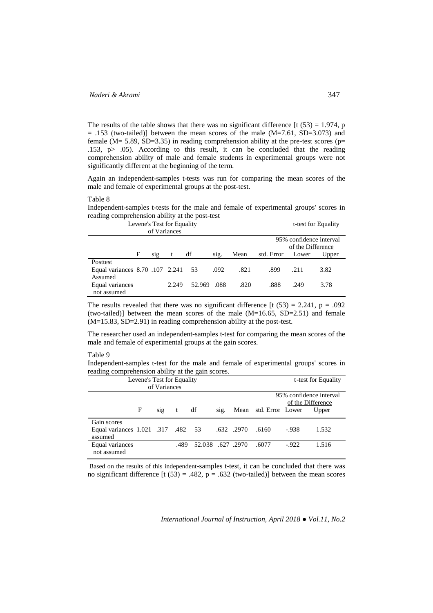## *Naderi & Akrami* 347

The results of the table shows that there was no significant difference [t (53) = 1.974, p  $= .153$  (two-tailed)] between the mean scores of the male (M=7.61, SD=3.073) and female ( $M = 5.89$ , SD=3.35) in reading comprehension ability at the pre-test scores ( $p=$ .153,  $p$   $>$  .05). According to this result, it can be concluded that the reading comprehension ability of male and female students in experimental groups were not significantly different at the beginning of the term.

Again an independent-samples t-tests was run for comparing the mean scores of the male and female of experimental groups at the post-test.

#### Table 8

Independent-samples t-tests for the male and female of experimental groups' scores in reading comprehension ability at the post-test

|                                    | Levene's Test for Equality |     |              | t-test for Equality |      |      |            |                         |       |
|------------------------------------|----------------------------|-----|--------------|---------------------|------|------|------------|-------------------------|-------|
|                                    |                            |     | of Variances |                     |      |      |            |                         |       |
|                                    |                            |     |              |                     |      |      |            | 95% confidence interval |       |
|                                    |                            |     |              |                     |      |      |            | of the Difference       |       |
|                                    | F                          | sig |              | df                  | sig. | Mean | std. Error | Lower                   | Upper |
| <b>Posttest</b>                    |                            |     |              |                     |      |      |            |                         |       |
| Equal variances 8.70 .107 2.241 53 |                            |     |              |                     | .092 | .821 | .899       | .211                    | 3.82  |
| Assumed                            |                            |     |              |                     |      |      |            |                         |       |
| Equal variances                    |                            |     | 2.249        | 52.969              | .088 | .820 | .888       | .249                    | 3.78  |
| not assumed                        |                            |     |              |                     |      |      |            |                         |       |

The results revealed that there was no significant difference  $[t (53) = 2.241, p = .092]$ (two-tailed)] between the mean scores of the male (M=16.65, SD=2.51) and female (M=15.83, SD=2.91) in reading comprehension ability at the post-test.

The researcher used an independent-samples t-test for comparing the mean scores of the male and female of experimental groups at the gain scores.

#### Table 9

Independent-samples t-test for the male and female of experimental groups' scores in reading comprehension ability at the gain scores.

|                                    | Levene's Test for Equality |              |      | t-test for Equality |      |           |                       |         |                         |
|------------------------------------|----------------------------|--------------|------|---------------------|------|-----------|-----------------------|---------|-------------------------|
|                                    |                            | of Variances |      |                     |      |           |                       |         |                         |
|                                    |                            |              |      |                     |      |           |                       |         | 95% confidence interval |
|                                    |                            |              |      |                     |      |           |                       |         | of the Difference       |
|                                    | F                          | sig          | t    | df                  | sig. |           | Mean std. Error Lower |         | Upper                   |
| Gain scores                        |                            |              |      |                     |      |           |                       |         |                         |
| Equal variances 1.021 .317 .482 53 |                            |              |      |                     |      | .632.2970 | .6160                 | $-9.38$ | 1.532                   |
| assumed                            |                            |              |      |                     |      |           |                       |         |                         |
| Equal variances                    |                            |              | .489 | 52.038 .627 .2970   |      |           | .6077                 | $-922$  | 1.516                   |
| not assumed                        |                            |              |      |                     |      |           |                       |         |                         |

Based on the results of this independent-samples t-test, it can be concluded that there was no significant difference  $[t (53) = .482, p = .632$  (two-tailed)] between the mean scores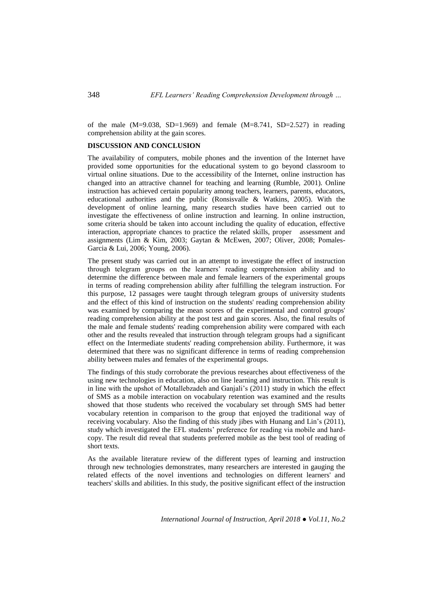of the male  $(M=9.038, SD=1.969)$  and female  $(M=8.741, SD=2.527)$  in reading comprehension ability at the gain scores.

## **DISCUSSION AND CONCLUSION**

The availability of computers, mobile phones and the invention of the Internet have provided some opportunities for the educational system to go beyond classroom to virtual online situations. Due to the accessibility of the Internet, online instruction has changed into an attractive channel for teaching and learning (Rumble, 2001). Online instruction has achieved certain popularity among teachers, learners, parents, educators, educational authorities and the public (Ronsisvalle & Watkins, 2005). With the development of online learning, many research studies have been carried out to investigate the effectiveness of online instruction and learning. In online instruction, some criteria should be taken into account including the quality of education, effective interaction, appropriate chances to practice the related skills, proper assessment and assignments (Lim & Kim, 2003; Gaytan & McEwen, 2007; Oliver, 2008; Pomales-Garcia & Lui, 2006; Young, 2006).

The present study was carried out in an attempt to investigate the effect of instruction through telegram groups on the learners' reading comprehension ability and to determine the difference between male and female learners of the experimental groups in terms of reading comprehension ability after fulfilling the telegram instruction. For this purpose, 12 passages were taught through telegram groups of university students and the effect of this kind of instruction on the students' reading comprehension ability was examined by comparing the mean scores of the experimental and control groups' reading comprehension ability at the post test and gain scores. Also, the final results of the male and female students' reading comprehension ability were compared with each other and the results revealed that instruction through telegram groups had a significant effect on the Intermediate students' reading comprehension ability. Furthermore, it was determined that there was no significant difference in terms of reading comprehension ability between males and females of the experimental groups.

The findings of this study corroborate the previous researches about effectiveness of the using new technologies in education, also on line learning and instruction. This result is in line with the upshot of Motallebzadeh and Ganjali's (2011) study in which the effect of SMS as a mobile interaction on vocabulary retention was examined and the results showed that those students who received the vocabulary set through SMS had better vocabulary retention in comparison to the group that enjoyed the traditional way of receiving vocabulary. Also the finding of this study jibes with Hunang and Lin's (2011), study which investigated the EFL students' preference for reading via mobile and hardcopy. The result did reveal that students preferred mobile as the best tool of reading of short texts.

As the available literature review of the different types of learning and instruction through new technologies demonstrates, many researchers are interested in gauging the related effects of the novel inventions and technologies on different learners' and teachers' skills and abilities. In this study, the positive significant effect of the instruction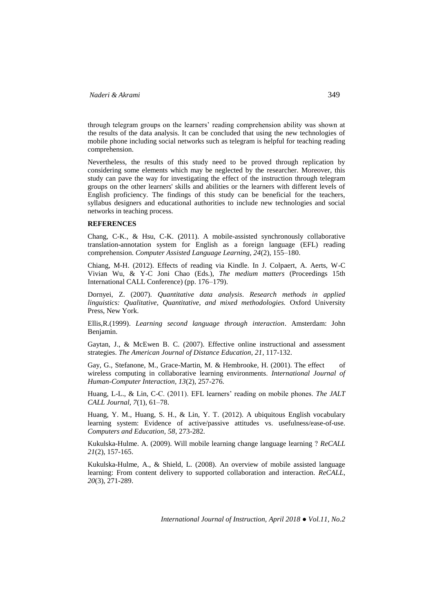through telegram groups on the learners' reading comprehension ability was shown at the results of the data analysis. It can be concluded that using the new technologies of mobile phone including social networks such as telegram is helpful for teaching reading comprehension.

Nevertheless, the results of this study need to be proved through replication by considering some elements which may be neglected by the researcher. Moreover, this study can pave the way for investigating the effect of the instruction through telegram groups on the other learners' skills and abilities or the learners with different levels of English proficiency. The findings of this study can be beneficial for the teachers, syllabus designers and educational authorities to include new technologies and social networks in teaching process.

#### **REFERENCES**

Chang, C-K., & Hsu, C-K. (2011). A mobile-assisted synchronously collaborative translation-annotation system for English as a foreign language (EFL) reading comprehension. *Computer Assisted Language Learning, 24*(2), 155–180.

Chiang, M-H. (2012). Effects of reading via Kindle. In J. Colpaert, A. Aerts, W-C Vivian Wu, & Y-C Joni Chao (Eds.), *The medium matters* (Proceedings 15th International CALL Conference) (pp. 176–179).

Dornyei, Z. (2007). *Quantitative data analysis*. *Research methods in applied linguistics: Qualitative, Quantitative, and mixed methodologies.* Oxford University Press, New York.

Ellis,R.(1999). *Learning second language through interaction*. Amsterdam: John Benjamin.

Gaytan, J., & McEwen B. C. (2007). Effective online instructional and assessment strategies. *The American Journal of Distance Education, 21*, 117-132.

Gay, G., Stefanone, M., Grace-Martin, M. & Hembrooke, H. (2001). The effect of wireless computing in collaborative learning environments. *International Journal of Human-Computer Interaction, 13*(2), 257-276.

Huang, L-L., & Lin, C-C. (2011). EFL learners' reading on mobile phones. *The JALT CALL Journal, 7*(1), 61–78.

Huang, Y. M., Huang, S. H., & Lin, Y. T. (2012). A ubiquitous English vocabulary learning system: Evidence of active/passive attitudes vs. usefulness/ease-of-use. *Computers and Education, 58*, 273-282.

Kukulska-Hulme. A. (2009). Will mobile learning change language learning ? *ReCALL 21*(2), 157-165.

Kukulska-Hulme, A., & Shield, L. (2008). An overview of mobile assisted language learning: From content delivery to supported collaboration and interaction. *ReCALL, 20*(3), 271-289.